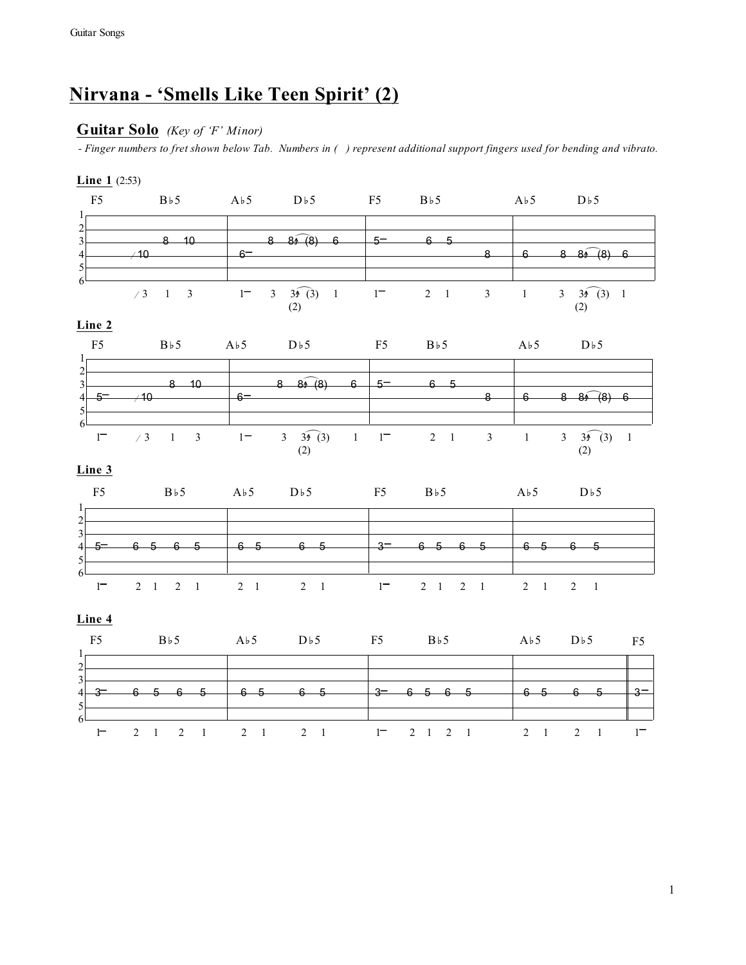# **Nirvana - 'Smells Like Teen Spirit' (2)**

### **Guitar Solo** *(Key of 'F' Minor)*

*- Finger numbers to fret shown below Tab. Numbers in ( ) represent additional support fingers used for bending and vibrato.*

#### **Line 2 Line 1** (2:53)  $84(8)$  $3\widehat{)}(3)$  1  $\begin{matrix} 80 \ 6 \end{matrix}$  (8) 6 Ñ ' 3 1 3 1 3 3^J (3) 1 1 2 1 3 1 3 3^J (3) 1  $\widehat{84(8)}$ F5 Bb5 Ab5 Db5 F5 Bb5 Ab5 Db5 1 2 3 4 5 6 5 6 5 6 5 6 5 3 6 5 6 5 6 5 6 5 5 6 1 2 1 2 1 2 1 2 1 1 2 1 2 1 2 1 2 1 F5 Bb5 Ab5 Db5 F5 Bb5 Ab5 Db5 F5 1 2 3  $4$   $3$  6 5 6 5 6 5 6 5 6 5  $\frac{1}{3}$  6 5 6 5 6 5  $\frac{1}{3}$  6 5 6 5  $\frac{1}{3}$  5 6 1 2 1 2 1 2 1 2 1 1 2 1 2 1 2 1 2 1 1 **Line 4 Line 3**  $3 \sqrt{3} \sqrt{3}$  $8 - (8) 6$  $3\widehat{)}(3)$  1 F5 Bb5 Ab5 Db5 F5 Bb5 Ab5 Db5 1 2<sup>2</sup>  $3$  8 10 8 8 9 (8) 6 5 6 5  $4 \rightarrow 10$  6 6 8 8  $\cancel{6}$  6 5 6  $(2)$ F5 Bb5 Ab5 Db5 F5 Bb5 Ab5 Db5 1  $\frac{2}{3}$  $3$  8 10 8 8 8 (8) 6  $5$  6 5  $4\overline{\smash{\big)}\,}$   $\overline{6}$   $\overline{\smash{\big)}\,}$   $\overline{6}$   $\overline{\smash{\big)}\,}$   $\overline{8}$   $\overline{\smash{\big)}\,}$   $\overline{6}$   $\overline{\smash{\big)}\,}$   $\overline{8}$   $\overline{\smash{\big)}\,}$   $\overline{6}$   $\overline{\smash{\big)}\,}$   $\overline{8}$   $\overline{\smash{\big)}\,}$   $\overline{6}$   $\overline{\smash{\big)}\,}$   $\overline{8}$   $\overline$  5 6  $1^-$  / 3 1 3 1 - 3  $3\frac{1}{3}$  (3) 1 1 - 2 1 3 1 3  $3\frac{1}{3}$  (3) 1  $(2)$